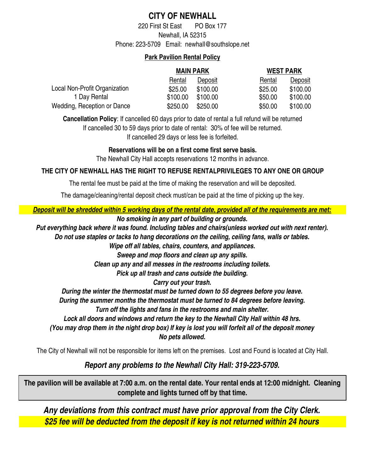## **CITY OF NEWHALL**

Phone: 223-5709 Email: newhall@southslope.net Newhall, IA 52315 220 First St East PO Box 177

### **Park Pavilion Rental Policy**

|                               | <b>MAIN PARK</b> |          | <b>WEST PARK</b> |          |
|-------------------------------|------------------|----------|------------------|----------|
|                               | Rental           | Deposit  | Rental           | Deposit  |
| Local Non-Profit Organization | \$25.00          | \$100.00 | \$25.00          | \$100.00 |
| 1 Day Rental                  | \$100.00         | \$100.00 | \$50.00          | \$100.00 |
| Wedding, Reception or Dance   | \$250.00         | \$250.00 | \$50.00          | \$100.00 |

If cancelled 29 days or less fee is forfeited. If cancelled 30 to 59 days prior to date of rental: 30% of fee will be returned. **Cancellation Policy**: If cancelled 60 days prior to date of rental a full refund will be returned

**Reservations will be on a first come first serve basis.**

The Newhall City Hall accepts reservations 12 months in advance.

### **THE CITY OF NEWHALL HAS THE RIGHT TO REFUSE RENTALPRIVILEGES TO ANY ONE OR GROUP**

The rental fee must be paid at the time of making the reservation and will be deposited.

The damage/cleaning/rental deposit check must/can be paid at the time of picking up the key.

#### *No smoking in any part of building or grounds. Deposit will be shredded within 5 working days of the rental date, provided all of the requirements are met:*

*Put everything back where it was found. Including tables and chairs(unless worked out with next renter).*

*Do not use staples or tacks to hang decorations on the ceiling, ceiling fans, walls or tables.*

*Wipe off all tables, chairs, counters, and appliances.*

*Sweep and mop floors and clean up any spills.*

*Clean up any and all messes in the restrooms including toilets.*

*Pick up all trash and cans outside the building.*

*Carry out your trash.*

*During the winter the thermostat must be turned down to 55 degrees before you leave.*

*During the summer months the thermostat must be turned to 84 degrees before leaving.*

*Turn off the lights and fans in the restrooms and main shelter.*

*Lock all doors and windows and return the key to the Newhall City Hall within 48 hrs.*

*No pets allowed. (You may drop them in the night drop box) If key is lost you will forfeit all of the deposit money*

The City of Newhall will not be responsible for items left on the premises. Lost and Found is located at City Hall.

## *Report any problems to the Newhall City Hall: 319-223-5709.*

**The pavilion will be available at 7:00 a.m. on the rental date. Your rental ends at 12:00 midnight. Cleaning complete and lights turned off by that time.** 

*Any deviations from this contract must have prior approval from the City Clerk. \$25 fee will be deducted from the deposit if key is not returned within 24 hours*